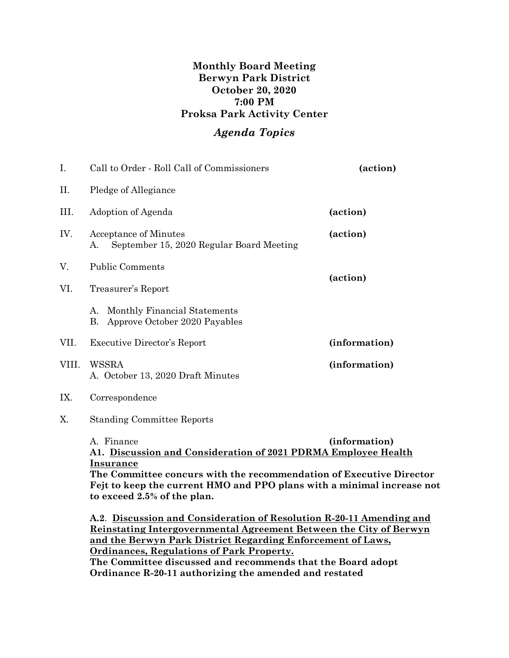## **Monthly Board Meeting Berwyn Park District October 20, 2020 7:00 PM Proksa Park Activity Center**

## *Agenda Topics*

| I.                                                      | Call to Order - Roll Call of Commissioners                                                                                                                                                                                                                                                                                                                                                                                                                                                                     | (action)      |  |  |
|---------------------------------------------------------|----------------------------------------------------------------------------------------------------------------------------------------------------------------------------------------------------------------------------------------------------------------------------------------------------------------------------------------------------------------------------------------------------------------------------------------------------------------------------------------------------------------|---------------|--|--|
| Π.                                                      | Pledge of Allegiance                                                                                                                                                                                                                                                                                                                                                                                                                                                                                           |               |  |  |
| III.                                                    | Adoption of Agenda                                                                                                                                                                                                                                                                                                                                                                                                                                                                                             | (action)      |  |  |
| IV.                                                     | Acceptance of Minutes<br>September 15, 2020 Regular Board Meeting<br>А.                                                                                                                                                                                                                                                                                                                                                                                                                                        | (action)      |  |  |
| V.                                                      | <b>Public Comments</b>                                                                                                                                                                                                                                                                                                                                                                                                                                                                                         |               |  |  |
| VI.                                                     | Treasurer's Report                                                                                                                                                                                                                                                                                                                                                                                                                                                                                             | (action)      |  |  |
|                                                         | A. Monthly Financial Statements<br>Approve October 2020 Payables<br>В.                                                                                                                                                                                                                                                                                                                                                                                                                                         |               |  |  |
| VII.                                                    | <b>Executive Director's Report</b>                                                                                                                                                                                                                                                                                                                                                                                                                                                                             | (information) |  |  |
| VIII.                                                   | WSSRA<br>A. October 13, 2020 Draft Minutes                                                                                                                                                                                                                                                                                                                                                                                                                                                                     | (information) |  |  |
| IX.                                                     | Correspondence                                                                                                                                                                                                                                                                                                                                                                                                                                                                                                 |               |  |  |
| Χ.                                                      | <b>Standing Committee Reports</b>                                                                                                                                                                                                                                                                                                                                                                                                                                                                              |               |  |  |
|                                                         | A. Finance<br>(information)<br>A1. Discussion and Consideration of 2021 PDRMA Employee Health<br><b>Insurance</b><br>The Committee concurs with the recommendation of Executive Director<br>Fejt to keep the current HMO and PPO plans with a minimal increase not<br>to exceed 2.5% of the plan.<br>A.2. Discussion and Consideration of Resolution R-20-11 Amending and<br>Reinstating Intergovernmental Agreement Between the City of Berwyn<br>and the Berwyn Park District Regarding Enforcement of Laws, |               |  |  |
| <u><b>Ordinances, Regulations of Park Property.</b></u> |                                                                                                                                                                                                                                                                                                                                                                                                                                                                                                                |               |  |  |

**The Committee discussed and recommends that the Board adopt Ordinance R-20-11 authorizing the amended and restated**